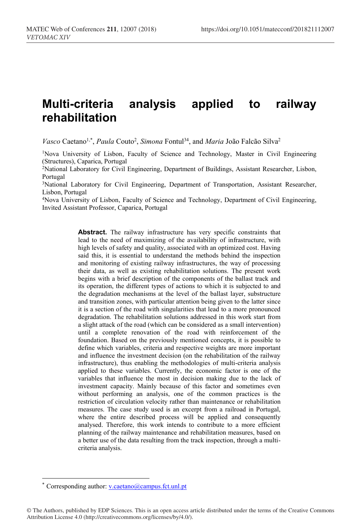# **Multi-criteria analysis applied to railway rehabilitation**

Vasco Caetano<sup>1,\*</sup>, *Paula* Couto<sup>2</sup>, Simona Fontul<sup>34</sup>, and *Maria* João Falcão Silva<sup>2</sup>

1Nova University of Lisbon, Faculty of Science and Technology, Master in Civil Engineering (Structures), Caparica, Portugal

2National Laboratory for Civil Engineering, Department of Buildings, Assistant Researcher, Lisbon, Portugal

<sup>3</sup>National Laboratory for Civil Engineering, Department of Transportation, Assistant Researcher, Lisbon, Portugal

4Nova University of Lisbon, Faculty of Science and Technology, Department of Civil Engineering, Invited Assistant Professor, Caparica, Portugal

> **Abstract.** The railway infrastructure has very specific constraints that lead to the need of maximizing of the availability of infrastructure, with high levels of safety and quality, associated with an optimized cost. Having said this, it is essential to understand the methods behind the inspection and monitoring of existing railway infrastructures, the way of processing their data, as well as existing rehabilitation solutions. The present work begins with a brief description of the components of the ballast track and its operation, the different types of actions to which it is subjected to and the degradation mechanisms at the level of the ballast layer, substructure and transition zones, with particular attention being given to the latter since it is a section of the road with singularities that lead to a more pronounced degradation. The rehabilitation solutions addressed in this work start from a slight attack of the road (which can be considered as a small intervention) until a complete renovation of the road with reinforcement of the foundation. Based on the previously mentioned concepts, it is possible to define which variables, criteria and respective weights are more important and influence the investment decision (on the rehabilitation of the railway infrastructure), thus enabling the methodologies of multi-criteria analysis applied to these variables. Currently, the economic factor is one of the variables that influence the most in decision making due to the lack of investment capacity. Mainly because of this factor and sometimes even without performing an analysis, one of the common practices is the restriction of circulation velocity rather than maintenance or rehabilitation measures. The case study used is an excerpt from a railroad in Portugal, where the entire described process will be applied and consequently analysed. Therefore, this work intends to contribute to a more efficient planning of the railway maintenance and rehabilitation measures, based on a better use of the data resulting from the track inspection, through a multicriteria analysis.

 $\overline{a}$ 

<sup>\*</sup> Corresponding author: v.caetano@campus.fct.unl.pt

<sup>©</sup> The Authors, published by EDP Sciences. This is an open access article distributed under the terms of the Creative Commons Attribution License 4.0 (http://creativecommons.org/licenses/by/4.0/).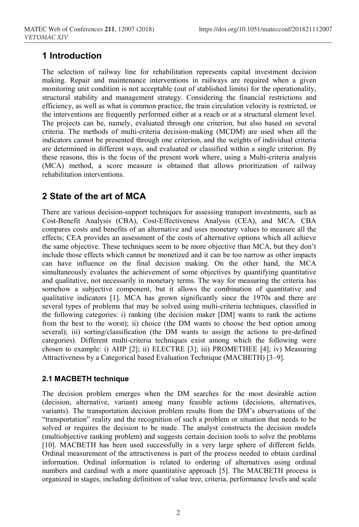# **1 Introduction**

The selection of railway line for rehabilitation represents capital investment decision making. Repair and maintenance interventions in railways are required when a given monitoring unit condition is not acceptable (out of stablished limits) for the operationality, structural stability and management strategy. Considering the financial restrictions and efficiency, as well as what is common practice, the train circulation velocity is restricted, or the interventions are frequently performed either at a reach or at a structural element level. The projects can be, namely, evaluated through one criterion, but also based on several criteria. The methods of multi-criteria decision-making (MCDM) are used when all the indicators cannot be presented through one criterion, and the weights of individual criteria are determined in different ways, and evaluated or classified within a single criterion. By these reasons, this is the focus of the present work where, using a Multi-criteria analysis (MCA) method, a score measure is obtained that allows prioritization of railway rehabilitation interventions.

# **2 State of the art of MCA**

There are various decision-support techniques for assessing transport investments, such as Cost-Benefit Analysis (CBA), Cost-Effectiveness Analysis (CEA), and MCA. CBA compares costs and benefits of an alternative and uses monetary values to measure all the effects; CEA provides an assessment of the costs of alternative options which all achieve the same objective. These techniques seem to be more objective than MCA, but they don't include those effects which cannot be monetized and it can be too narrow as other impacts can have influence on the final decision making. On the other hand, the MCA simultaneously evaluates the achievement of some objectives by quantifying quantitative and qualitative, not necessarily in monetary terms. The way for measuring the criteria has somehow a subjective component, but it allows the combination of quantitative and qualitative indicators [1]. MCA has grown significantly since the 1970s and there are several types of problems that may be solved using multi-criteria techniques, classified in the following categories: i) ranking (the decision maker [DM] wants to rank the actions from the best to the worst); ii) choice (the DM wants to choose the best option among several); iii) sorting/classification (the DM wants to assign the actions to pre-defined categories). Different multi-criteria techniques exist among which the following were chosen to example: i) AHP [2]; ii) ELECTRE [3]; iii) PROMETHEE [4]; iv) Measuring Attractiveness by a Categorical based Evaluation Technique (MACBETH) [3–9].

## **2.1 MACBETH technique**

The decision problem emerges when the DM searches for the most desirable action (decision, alternative, variant) among many feasible actions (decisions, alternatives, variants). The transportation decision problem results from the DM's observations of the "transportation" reality and the recognition of such a problem or situation that needs to be solved or requires the decision to be made. The analyst constructs the decision models (multiobjective ranking problem) and suggests certain decision tools to solve the problems [10]. MACBETH has been used successfully in a very large sphere of different fields. Ordinal measurement of the attractiveness is part of the process needed to obtain cardinal information. Ordinal information is related to ordering of alternatives using ordinal numbers and cardinal with a more quantitative approach [5]. The MACBETH process is organized in stages, including definition of value tree, criteria, performance levels and scale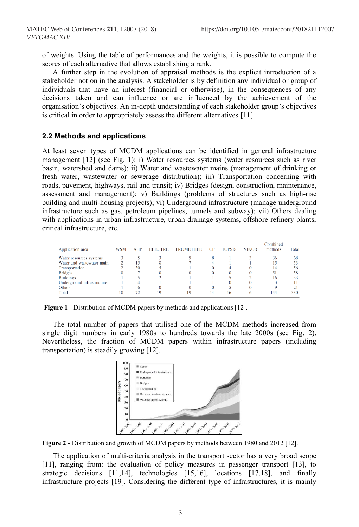of weights. Using the table of performances and the weights, it is possible to compute the scores of each alternative that allows establishing a rank.

A further step in the evolution of appraisal methods is the explicit introduction of a stakeholder notion in the analysis. A stakeholder is by definition any individual or group of individuals that have an interest (financial or otherwise), in the consequences of any decisions taken and can influence or are influenced by the achievement of the organisation's objectives. An in-depth understanding of each stakeholder group's objectives is critical in order to appropriately assess the different alternatives [11].

#### **2.2 Methods and applications**

At least seven types of MCDM applications can be identified in general infrastructure management [12] (see Fig. 1): i) Water resources systems (water resources such as river basin, watershed and dams); ii) Water and wastewater mains (management of drinking or fresh water, wastewater or sewerage distribution); iii) Transportation concerning with roads, pavement, highways, rail and transit; iv) Bridges (design, construction, maintenance, assessment and management); v) Buildings (problems of structures such as high-rise building and multi-housing projects); vi) Underground infrastructure (manage underground infrastructure such as gas, petroleum pipelines, tunnels and subway); vii) Others dealing with applications in urban infrastructure, urban drainage systems, offshore refinery plants, critical infrastructure, etc.

| Application area           | WSM | AHP | <b>ELECTRE</b> | <b>PROMETHEE</b> | <b>CP</b> | <b>TOPSIS</b> | <b>VIKOR</b> | Combined<br>methods | Total |
|----------------------------|-----|-----|----------------|------------------|-----------|---------------|--------------|---------------------|-------|
| Water resources systems    |     |     |                |                  |           |               |              | 36                  | 68    |
| Water and wastewater main  |     | 5   |                |                  |           |               |              |                     |       |
| Transportation             |     | 30  |                |                  |           |               |              |                     |       |
| <b>Bridges</b>             |     |     |                |                  |           |               |              |                     | 58    |
| <b>Buildings</b>           |     |     |                |                  |           |               |              |                     |       |
| Underground infrastructure |     |     |                |                  |           |               |              |                     |       |
| <b>Others</b>              |     |     |                |                  |           |               |              |                     |       |
| Total                      | 10  |     | 19             | 19               |           | 16            |              | 144                 | 330   |

**Figure 1** - Distribution of MCDM papers by methods and applications [12].

The total number of papers that utilised one of the MCDM methods increased from single digit numbers in early 1980s to hundreds towards the late 2000s (see Fig. 2). Nevertheless, the fraction of MCDM papers within infrastructure papers (including transportation) is steadily growing [12].



**Figure 2** - Distribution and growth of MCDM papers by methods between 1980 and 2012 [12].

The application of multi-criteria analysis in the transport sector has a very broad scope [11], ranging from: the evaluation of policy measures in passenger transport [13], to strategic decisions [11,14], technologies [15,16], locations [17,18], and finally infrastructure projects [19]. Considering the different type of infrastructures, it is mainly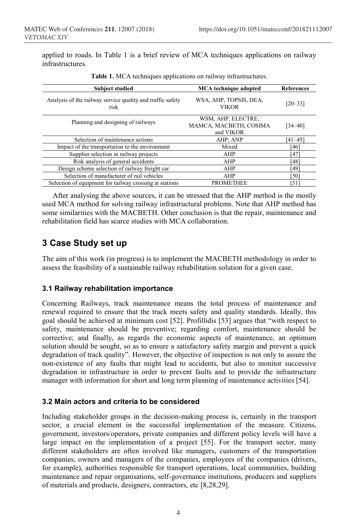applied to roads. In Table 1 is a brief review of MCA techniques applications on railway infrastructures.

| <b>Subject studied</b>                                             | <b>MCA</b> technique adopted                              | <b>References</b> |  |
|--------------------------------------------------------------------|-----------------------------------------------------------|-------------------|--|
| Analysis of the railway service quality and traffic safety<br>risk | WSA, AHP, TOPSIS, DEA,<br><b>VIKOR</b>                    | $[20 - 33]$       |  |
| Planning and designing of railways                                 | WSM, AHP, ELECTRE,<br>MAMCA, MACBETH, COSIMA<br>and VIKOR | $34 - 40$ ]       |  |
| Selection of maintenance actions                                   | AHP, ANP                                                  | [41–45]           |  |
| Impact of the transportation to the environment                    | Mixed                                                     | [46]              |  |
| Supplier selection in railway projects                             | AHP                                                       | [47]              |  |
| Risk analysis of general accidents                                 | AHP                                                       | [48]              |  |
| Design scheme selection of railway freight car                     | AHP                                                       | [49]              |  |
| Selection of manufacturer of rail vehicles                         | AHP                                                       | [50]              |  |
| Selection of equipment for railway crossing at stations            | <b>PROMETHEE</b>                                          | [51]              |  |

**Table 1.** MCA techniques applications on railway infrastructures.

After analysing the above sources, it can be stressed that the AHP method is the mostly used MCA method for solving railway infrastructural problems. Note that AHP method has some similarities with the MACBETH. Other conclusion is that the repair, maintenance and rehabilitation field has scarce studies with MCA collaboration.

# **3 Case Study set up**

The aim of this work (in progress) is to implement the MACBETH methodology in order to assess the feasibility of a sustainable railway rehabilitation solution for a given case.

#### **3.1 Railway rehabilitation importance**

Concerning Railways, track maintenance means the total process of maintenance and renewal required to ensure that the track meets safety and quality standards. Ideally, this goal should be achieved at minimum cost [52]. Profillidis [53] argues that "with respect to safety, maintenance should be preventive; regarding comfort, maintenance should be corrective; and finally, as regards the economic aspects of maintenance, an optimum solution should be sought, so as to ensure a satisfactory safety margin and prevent a quick degradation of track quality". However, the objective of inspection is not only to assure the non-existence of any faults that might lead to accidents, but also to monitor successive degradation in infrastructure in order to prevent faults and to provide the infrastructure manager with information for short and long term planning of maintenance activities [54].

#### **3.2 Main actors and criteria to be considered**

Including stakeholder groups in the decision-making process is, certainly in the transport sector, a crucial element in the successful implementation of the measure. Citizens, government, investors/operators, private companies and different policy levels will have a large impact on the implementation of a project [55]. For the transport sector, many different stakeholders are often involved like managers, customers of the transportation companies, owners and managers of the companies, employees of the companies (drivers, for example), authorities responsible for transport operations, local communities, building maintenance and repair organisations, self-governance institutions, producers and suppliers of materials and products, designers, contractors, etc [8,28,29].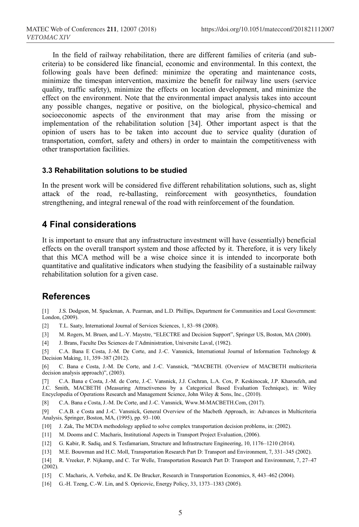In the field of railway rehabilitation, there are different families of criteria (and subcriteria) to be considered like financial, economic and environmental. In this context, the following goals have been defined: minimize the operating and maintenance costs, minimize the timespan intervention, maximize the benefit for railway line users (service quality, traffic safety), minimize the effects on location development, and minimize the effect on the environment. Note that the environmental impact analysis takes into account any possible changes, negative or positive, on the biological, physico-chemical and socioeconomic aspects of the environment that may arise from the missing or implementation of the rehabilitation solution [34]. Other important aspect is that the opinion of users has to be taken into account due to service quality (duration of transportation, comfort, safety and others) in order to maintain the competitiveness with other transportation facilities.

#### **3.3 Rehabilitation solutions to be studied**

In the present work will be considered five different rehabilitation solutions, such as, slight attack of the road, re-ballasting, reinforcement with geosynthetics, foundation strengthening, and integral renewal of the road with reinforcement of the foundation.

### **4 Final considerations**

It is important to ensure that any infrastructure investment will have (essentially) beneficial effects on the overall transport system and those affected by it. Therefore, it is very likely that this MCA method will be a wise choice since it is intended to incorporate both quantitative and qualitative indicators when studying the feasibility of a sustainable railway rehabilitation solution for a given case.

### **References**

[1] J.S. Dodgson, M. Spackman, A. Pearman, and L.D. Phillips, Department for Communities and Local Government: London, (2009).

[2] T.L. Saaty, International Journal of Services Sciences, 1, 83–98 (2008).

[3] M. Rogers, M. Bruen, and L.-Y. Maystre, "ELECTRE and Decision Support", Springer US, Boston, MA (2000).

[4] J. Brans, Faculte Des Sciences de l'Administration, Universite Laval, (1982).

[5] C.A. Bana E Costa, J.-M. De Corte, and J.-C. Vansnick, International Journal of Information Technology & Decision Making, 11, 359–387 (2012).

[6] C. Bana e Costa, J.-M. De Corte, and J.-C. Vansnick, "MACBETH. (Overview of MACBETH multicriteria decision analysis approach)", (2003).

[7] C.A. Bana e Costa, J.-M. de Corte, J.-C. Vansnick, J.J. Cochran, L.A. Cox, P. Keskinocak, J.P. Kharoufeh, and J.C. Smith, MACBETH (Measuring Attractiveness by a Categorical Based Evaluation Technique), in: Wiley Encyclopedia of Operations Research and Management Science, John Wiley & Sons, Inc., (2010).

[8] C.A. Bana e Costa, J.-M. De Corte, and J.-C. Vansnick, Www.M-MACBETH.Com, (2017).

[9] C.A.B. e Costa and J.-C. Vansnick, General Overview of the Macbeth Approach, in: Advances in Multicriteria Analysis, Springer, Boston, MA, (1995), pp. 93–100.

[10] J. Zak, The MCDA methodology applied to solve complex transportation decision problems, in: (2002).

[11] M. Dooms and C. Macharis, Institutional Aspects in Transport Project Evaluation, (2006).

[12] G. Kabir, R. Sadiq, and S. Tesfamariam, Structure and Infrastructure Engineering, 10, 1176–1210 (2014).

[13] M.E. Bouwman and H.C. Moll, Transportation Research Part D: Transport and Environment, 7, 331–345 (2002).

[14] R. Vreeker, P. Nijkamp, and C. Ter Welle, Transportation Research Part D: Transport and Environment, 7, 27–47  $(2002)$ .

[15] C. Macharis, A. Verbeke, and K. De Brucker, Research in Transportation Economics, 8, 443–462 (2004).

[16] G.-H. Tzeng, C.-W. Lin, and S. Opricovic, Energy Policy, 33, 1373-1383 (2005).